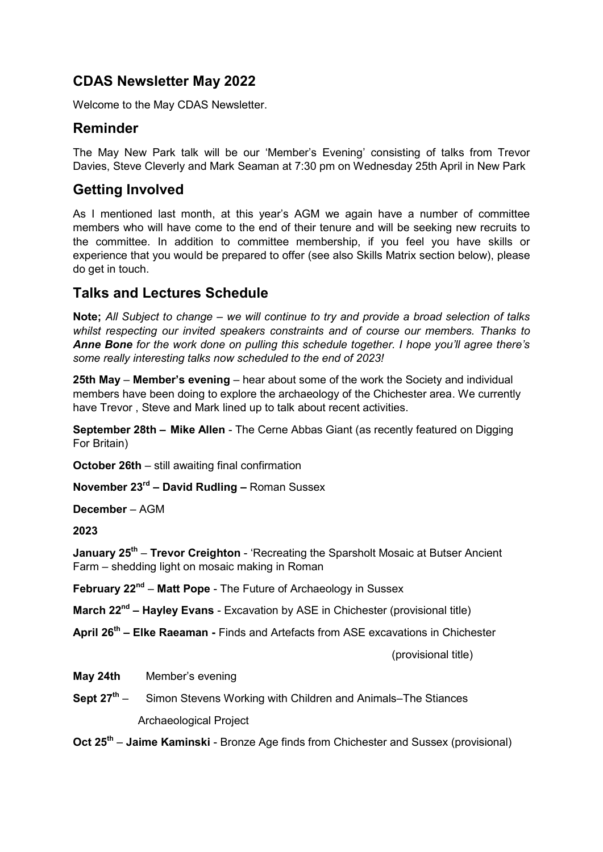## **CDAS Newsletter May 2022**

Welcome to the May CDAS Newsletter.

### **Reminder**

The May New Park talk will be our 'Member's Evening' consisting of talks from Trevor Davies, Steve Cleverly and Mark Seaman at 7:30 pm on Wednesday 25th April in New Park

## **Getting Involved**

As I mentioned last month, at this year's AGM we again have a number of committee members who will have come to the end of their tenure and will be seeking new recruits to the committee. In addition to committee membership, if you feel you have skills or experience that you would be prepared to offer (see also Skills Matrix section below), please do get in touch.

## **Talks and Lectures Schedule**

**Note;** *All Subject to change – we will continue to try and provide a broad selection of talks whilst respecting our invited speakers constraints and of course our members. Thanks to Anne Bone for the work done on pulling this schedule together. I hope you'll agree there's some really interesting talks now scheduled to the end of 2023!*

**25th May** – **Member's evening** – hear about some of the work the Society and individual members have been doing to explore the archaeology of the Chichester area. We currently have Trevor , Steve and Mark lined up to talk about recent activities.

**September 28th – Mike Allen** - The Cerne Abbas Giant (as recently featured on Digging For Britain)

**October 26th** – still awaiting final confirmation

**November 23rd – David Rudling –** Roman Sussex

**December** – AGM

**2023**

**January 25<sup>th</sup> – Trevor Creighton - 'Recreating the Sparsholt Mosaic at Butser Ancient** Farm – shedding light on mosaic making in Roman

**February 22nd** – **Matt Pope** - The Future of Archaeology in Sussex

**March 22nd – Hayley Evans** - Excavation by ASE in Chichester (provisional title)

**April 26th – Elke Raeaman -** Finds and Artefacts from ASE excavations in Chichester

(provisional title)

**May 24th** Member's evening

**Sept 27th** – Simon Stevens Working with Children and Animals–The Stiances Archaeological Project

**Oct 25th** – **Jaime Kaminski** - Bronze Age finds from Chichester and Sussex (provisional)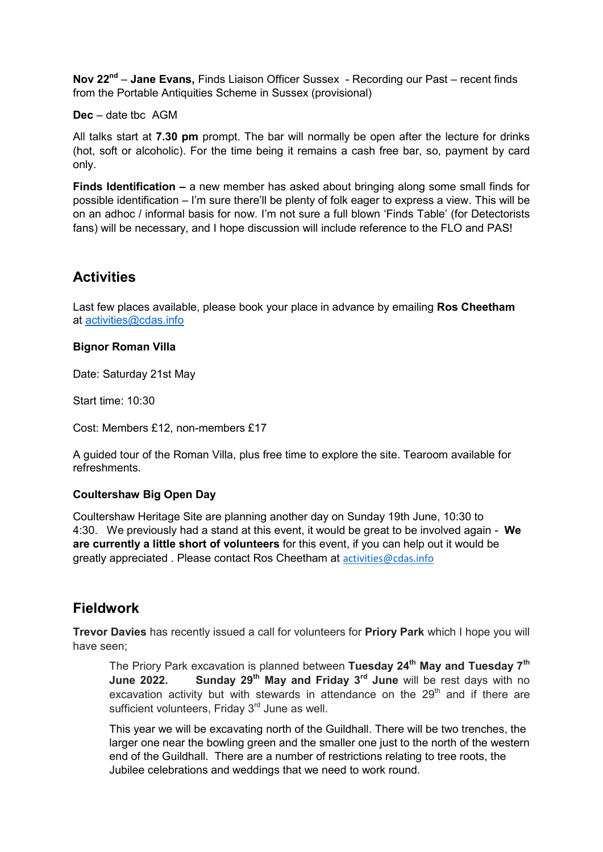**Nov 22nd** – **Jane Evans,** Finds Liaison Officer Sussex - Recording our Past – recent finds from the Portable Antiquities Scheme in Sussex (provisional)

**Dec** – date tbc AGM

All talks start at **7.30 pm** prompt. The bar will normally be open after the lecture for drinks (hot, soft or alcoholic). For the time being it remains a cash free bar, so, payment by card only.

**Finds Identification –** a new member has asked about bringing along some small finds for possible identification – I'm sure there'll be plenty of folk eager to express a view. This will be on an adhoc / informal basis for now. I'm not sure a full blown 'Finds Table' (for Detectorists fans) will be necessary, and I hope discussion will include reference to the FLO and PAS!

## **Activities**

Last few places available, please book your place in advance by emailing **Ros Cheetham** at [activities@cdas.info](mailto:activities@cdas.info)

#### **Bignor Roman Villa**

Date: Saturday 21st May

Start time: 10:30

Cost: Members £12, non-members £17

A guided tour of the Roman Villa, plus free time to explore the site. Tearoom available for refreshments.

#### **Coultershaw Big Open Day**

Coultershaw Heritage Site are planning another day on Sunday 19th June, 10:30 to 4:30. We previously had a stand at this event, it would be great to be involved again - **We are currently a little short of volunteers** for this event, if you can help out it would be greatly appreciated . Please contact Ros Cheetham at [activities@cdas.info](mailto:activities@cdas.info)

## **Fieldwork**

**Trevor Davies** has recently issued a call for volunteers for **Priory Park** which I hope you will have seen;

The Priory Park excavation is planned between **Tuesday 24th May and Tuesday 7th June 2022. Sunday 29th May and Friday 3rd June** will be rest days with no excavation activity but with stewards in attendance on the  $29<sup>th</sup>$  and if there are sufficient volunteers, Friday 3<sup>rd</sup> June as well.

This year we will be excavating north of the Guildhall. There will be two trenches, the larger one near the bowling green and the smaller one just to the north of the western end of the Guildhall. There are a number of restrictions relating to tree roots, the Jubilee celebrations and weddings that we need to work round.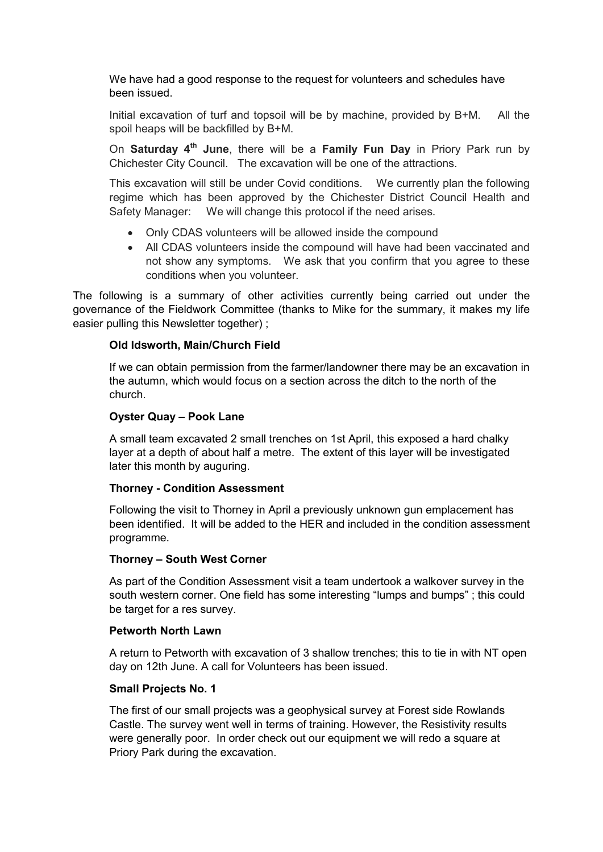We have had a good response to the request for volunteers and schedules have been issued.

Initial excavation of turf and topsoil will be by machine, provided by B+M. All the spoil heaps will be backfilled by B+M.

On **Saturday 4th June**, there will be a **Family Fun Day** in Priory Park run by Chichester City Council. The excavation will be one of the attractions.

This excavation will still be under Covid conditions. We currently plan the following regime which has been approved by the Chichester District Council Health and Safety Manager: We will change this protocol if the need arises.

- Only CDAS volunteers will be allowed inside the compound
- All CDAS volunteers inside the compound will have had been vaccinated and not show any symptoms. We ask that you confirm that you agree to these conditions when you volunteer.

The following is a summary of other activities currently being carried out under the governance of the Fieldwork Committee (thanks to Mike for the summary, it makes my life easier pulling this Newsletter together) ;

#### **Old Idsworth, Main/Church Field**

If we can obtain permission from the farmer/landowner there may be an excavation in the autumn, which would focus on a section across the ditch to the north of the church.

#### **Oyster Quay – Pook Lane**

A small team excavated 2 small trenches on 1st April, this exposed a hard chalky layer at a depth of about half a metre. The extent of this layer will be investigated later this month by auguring.

#### **Thorney - Condition Assessment**

Following the visit to Thorney in April a previously unknown gun emplacement has been identified. It will be added to the HER and included in the condition assessment programme.

#### **Thorney – South West Corner**

As part of the Condition Assessment visit a team undertook a walkover survey in the south western corner. One field has some interesting "lumps and bumps" ; this could be target for a res survey.

#### **Petworth North Lawn**

A return to Petworth with excavation of 3 shallow trenches; this to tie in with NT open day on 12th June. A call for Volunteers has been issued.

#### **Small Projects No. 1**

The first of our small projects was a geophysical survey at Forest side Rowlands Castle. The survey went well in terms of training. However, the Resistivity results were generally poor. In order check out our equipment we will redo a square at Priory Park during the excavation.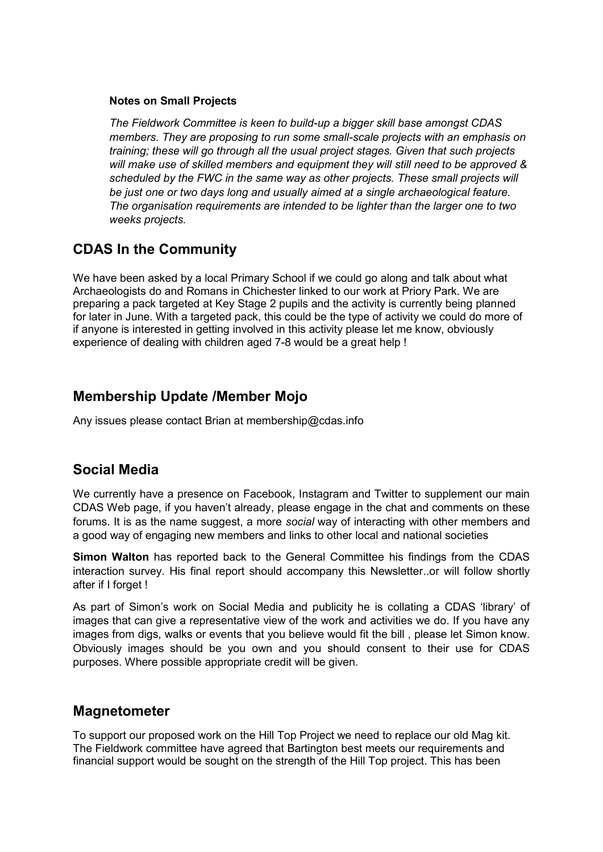#### **Notes on Small Projects**

*The Fieldwork Committee is keen to build-up a bigger skill base amongst CDAS members. They are proposing to run some small-scale projects with an emphasis on training; these will go through all the usual project stages. Given that such projects will make use of skilled members and equipment they will still need to be approved & scheduled by the FWC in the same way as other projects. These small projects will be just one or two days long and usually aimed at a single archaeological feature. The organisation requirements are intended to be lighter than the larger one to two weeks projects.* 

## **CDAS In the Community**

We have been asked by a local Primary School if we could go along and talk about what Archaeologists do and Romans in Chichester linked to our work at Priory Park. We are preparing a pack targeted at Key Stage 2 pupils and the activity is currently being planned for later in June. With a targeted pack, this could be the type of activity we could do more of if anyone is interested in getting involved in this activity please let me know, obviously experience of dealing with children aged 7-8 would be a great help !

### **Membership Update /Member Mojo**

Any issues please contact Brian at membership@cdas.info

### **Social Media**

We currently have a presence on Facebook, Instagram and Twitter to supplement our main CDAS Web page, if you haven't already, please engage in the chat and comments on these forums. It is as the name suggest, a more *social* way of interacting with other members and a good way of engaging new members and links to other local and national societies

**Simon Walton** has reported back to the General Committee his findings from the CDAS interaction survey. His final report should accompany this Newsletter..or will follow shortly after if I forget !

As part of Simon's work on Social Media and publicity he is collating a CDAS 'library' of images that can give a representative view of the work and activities we do. If you have any images from digs, walks or events that you believe would fit the bill , please let Simon know. Obviously images should be you own and you should consent to their use for CDAS purposes. Where possible appropriate credit will be given.

### **Magnetometer**

To support our proposed work on the Hill Top Project we need to replace our old Mag kit. The Fieldwork committee have agreed that Bartington best meets our requirements and financial support would be sought on the strength of the Hill Top project. This has been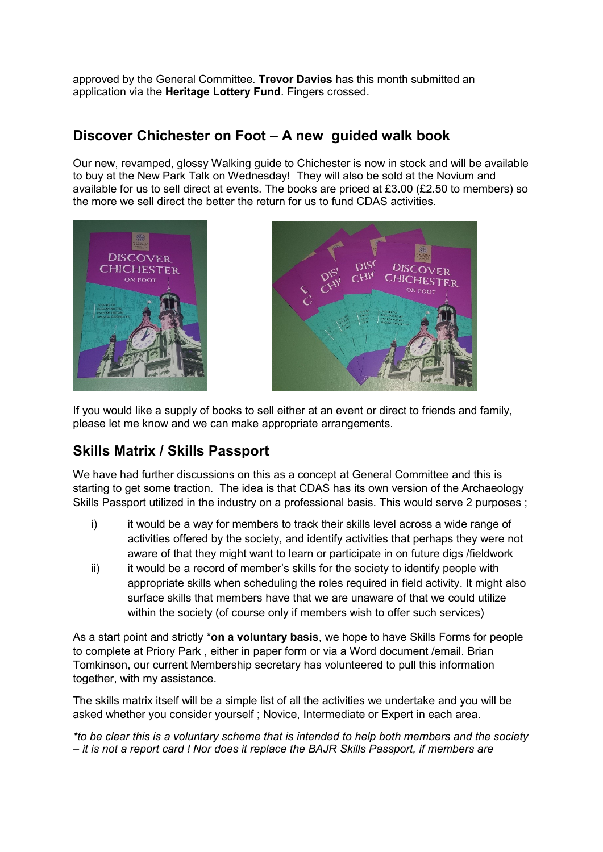approved by the General Committee. **Trevor Davies** has this month submitted an application via the **Heritage Lottery Fund**. Fingers crossed.

## **Discover Chichester on Foot – A new guided walk book**

Our new, revamped, glossy Walking guide to Chichester is now in stock and will be available to buy at the New Park Talk on Wednesday! They will also be sold at the Novium and available for us to sell direct at events. The books are priced at £3.00 (£2.50 to members) so the more we sell direct the better the return for us to fund CDAS activities.





If you would like a supply of books to sell either at an event or direct to friends and family, please let me know and we can make appropriate arrangements.

## **Skills Matrix / Skills Passport**

We have had further discussions on this as a concept at General Committee and this is starting to get some traction. The idea is that CDAS has its own version of the Archaeology Skills Passport utilized in the industry on a professional basis. This would serve 2 purposes ;

- i) it would be a way for members to track their skills level across a wide range of activities offered by the society, and identify activities that perhaps they were not aware of that they might want to learn or participate in on future digs /fieldwork
- ii) it would be a record of member's skills for the society to identify people with appropriate skills when scheduling the roles required in field activity. It might also surface skills that members have that we are unaware of that we could utilize within the society (of course only if members wish to offer such services)

As a start point and strictly \***on a voluntary basis**, we hope to have Skills Forms for people to complete at Priory Park , either in paper form or via a Word document /email. Brian Tomkinson, our current Membership secretary has volunteered to pull this information together, with my assistance.

The skills matrix itself will be a simple list of all the activities we undertake and you will be asked whether you consider yourself ; Novice, Intermediate or Expert in each area.

*\*to be clear this is a voluntary scheme that is intended to help both members and the society – it is not a report card ! Nor does it replace the BAJR Skills Passport, if members are*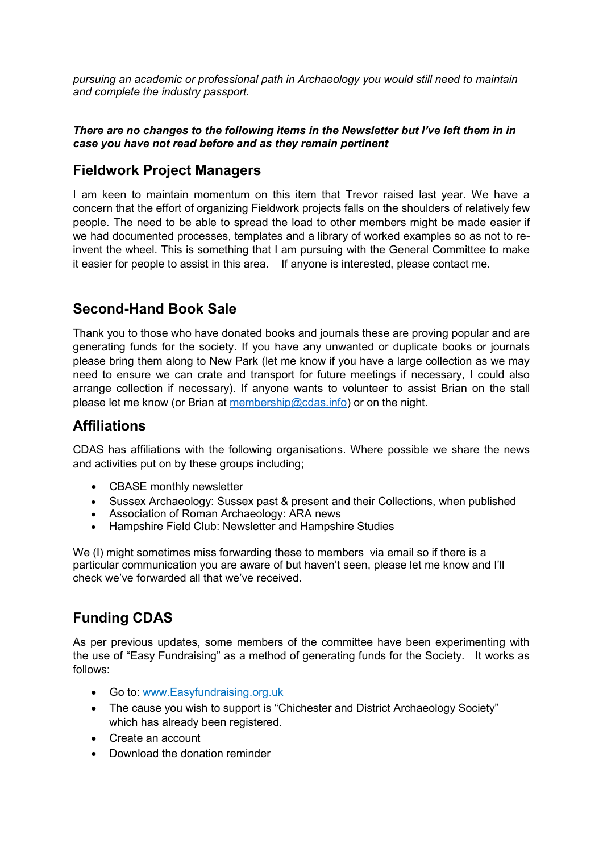*pursuing an academic or professional path in Archaeology you would still need to maintain and complete the industry passport.*

#### *There are no changes to the following items in the Newsletter but I've left them in in case you have not read before and as they remain pertinent*

## **Fieldwork Project Managers**

I am keen to maintain momentum on this item that Trevor raised last year. We have a concern that the effort of organizing Fieldwork projects falls on the shoulders of relatively few people. The need to be able to spread the load to other members might be made easier if we had documented processes, templates and a library of worked examples so as not to reinvent the wheel. This is something that I am pursuing with the General Committee to make it easier for people to assist in this area. If anyone is interested, please contact me.

## **Second-Hand Book Sale**

Thank you to those who have donated books and journals these are proving popular and are generating funds for the society. If you have any unwanted or duplicate books or journals please bring them along to New Park (let me know if you have a large collection as we may need to ensure we can crate and transport for future meetings if necessary, I could also arrange collection if necessary). If anyone wants to volunteer to assist Brian on the stall please let me know (or Brian at [membership@cdas.info\)](mailto:membership@cdas.info) or on the night.

## **Affiliations**

CDAS has affiliations with the following organisations. Where possible we share the news and activities put on by these groups including;

- CBASE monthly newsletter
- Sussex Archaeology: Sussex past & present and their Collections, when published
- Association of Roman Archaeology: ARA news
- Hampshire Field Club: Newsletter and Hampshire Studies

We (I) might sometimes miss forwarding these to members via email so if there is a particular communication you are aware of but haven't seen, please let me know and I'll check we've forwarded all that we've received.

# **Funding CDAS**

As per previous updates, some members of the committee have been experimenting with the use of "Easy Fundraising" as a method of generating funds for the Society. It works as follows:

- Go to: www[.Easyfundraising.](https://www.easyfundraising.org.uk/causes/cdasociety/?invite=CIS3R8&referral-campaign=c2s)org.uk
- The cause you wish to support is "Chichester and District Archaeology Society" which has already been registered.
- Create an account
- Download the donation reminder